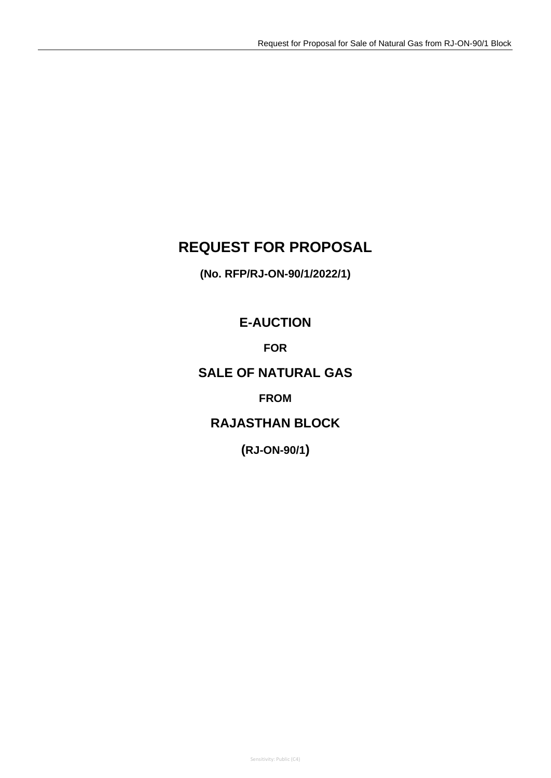# **REQUEST FOR PROPOSAL**

**(No. RFP/RJ-ON-90/1/2022/1)**

**E-AUCTION**

**FOR**

# **SALE OF NATURAL GAS**

# **FROM**

# **RAJASTHAN BLOCK**

**(RJ-ON-90/1)**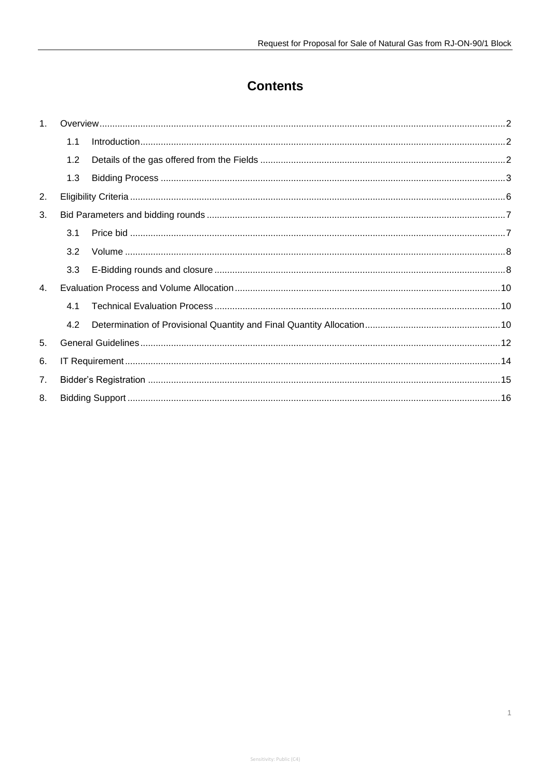# **Contents**

| 1 <sub>1</sub> |     |  |  |
|----------------|-----|--|--|
|                | 1.1 |  |  |
|                | 1.2 |  |  |
|                | 1.3 |  |  |
| 2.             |     |  |  |
| 3.             |     |  |  |
|                | 3.1 |  |  |
|                | 3.2 |  |  |
|                | 3.3 |  |  |
| $\mathbf{4}$   |     |  |  |
|                | 4.1 |  |  |
|                | 4.2 |  |  |
| 5.             |     |  |  |
| 6.             |     |  |  |
| 7 <sub>1</sub> |     |  |  |
| 8.             |     |  |  |

 $\ensuremath{\mathsf{1}}$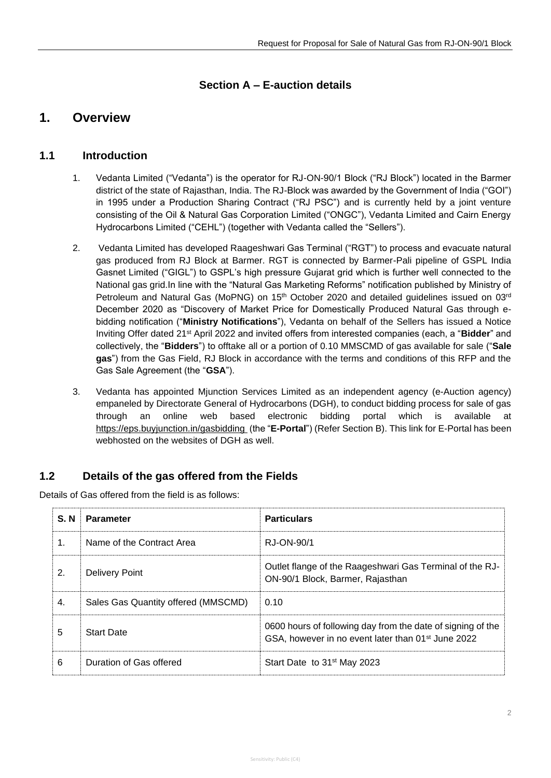## **Section A – E-auction details**

# <span id="page-2-0"></span>**1. Overview**

## <span id="page-2-1"></span>**1.1 Introduction**

- 1. Vedanta Limited ("Vedanta") is the operator for RJ-ON-90/1 Block ("RJ Block") located in the Barmer district of the state of Rajasthan, India. The RJ-Block was awarded by the Government of India ("GOI") in 1995 under a Production Sharing Contract ("RJ PSC") and is currently held by a joint venture consisting of the Oil & Natural Gas Corporation Limited ("ONGC"), Vedanta Limited and Cairn Energy Hydrocarbons Limited ("CEHL") (together with Vedanta called the "Sellers").
- 2. Vedanta Limited has developed Raageshwari Gas Terminal ("RGT") to process and evacuate natural gas produced from RJ Block at Barmer. RGT is connected by Barmer-Pali pipeline of GSPL India Gasnet Limited ("GIGL") to GSPL's high pressure Gujarat grid which is further well connected to the National gas grid.In line with the "Natural Gas Marketing Reforms" notification published by Ministry of Petroleum and Natural Gas (MoPNG) on 15<sup>th</sup> October 2020 and detailed guidelines issued on 03<sup>rd</sup> December 2020 as "Discovery of Market Price for Domestically Produced Natural Gas through ebidding notification ("**Ministry Notifications**"), Vedanta on behalf of the Sellers has issued a Notice Inviting Offer dated 21st April 2022 and invited offers from interested companies (each, a "**Bidder**" and collectively, the "**Bidders**") to offtake all or a portion of 0.10 MMSCMD of gas available for sale ("**Sale gas**") from the Gas Field, RJ Block in accordance with the terms and conditions of this RFP and the Gas Sale Agreement (the "**GSA**").
- 3. Vedanta has appointed Mjunction Services Limited as an independent agency (e-Auction agency) empaneled by Directorate General of Hydrocarbons (DGH), to conduct bidding process for sale of gas through an online web based electronic bidding portal which is available at [https://eps.buyjunction.in/gasbidding](https://eps.buyjunction.in/gasbidding/) (the "**E-Portal**") (Refer Section B). This link for E-Portal has been webhosted on the websites of DGH as well.

## <span id="page-2-2"></span>**1.2 Details of the gas offered from the Fields**

Details of Gas offered from the field is as follows:

| S. N | <b>Parameter</b>                    | <b>Particulars</b>                                                                                                            |
|------|-------------------------------------|-------------------------------------------------------------------------------------------------------------------------------|
| 1.   | Name of the Contract Area           | RJ-ON-90/1                                                                                                                    |
| 2.   | Delivery Point                      | Outlet flange of the Raageshwari Gas Terminal of the RJ-<br>ON-90/1 Block, Barmer, Rajasthan                                  |
| 4.   | Sales Gas Quantity offered (MMSCMD) | 0.10                                                                                                                          |
| 5    | <b>Start Date</b>                   | 0600 hours of following day from the date of signing of the<br>GSA, however in no event later than 01 <sup>st</sup> June 2022 |
| 6    | Duration of Gas offered             | Start Date to 31 <sup>st</sup> May 2023                                                                                       |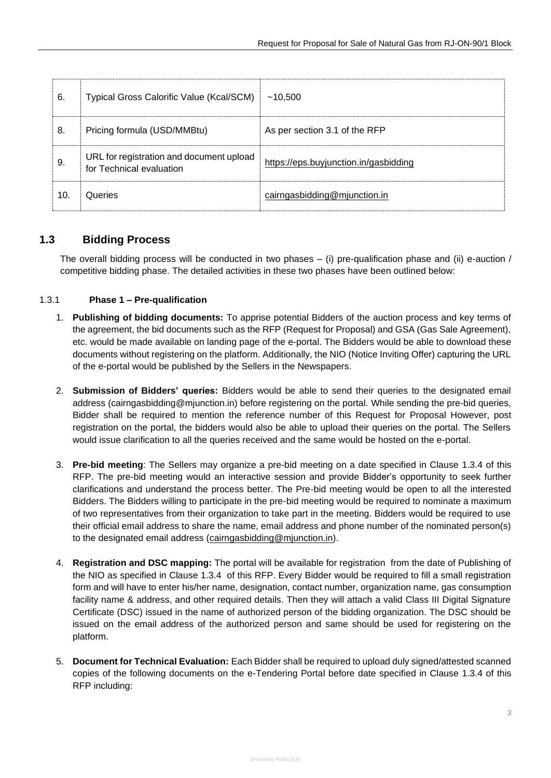| 6.  | Typical Gross Calorific Value (Kcal/SCM)                             | ~10.500                               |
|-----|----------------------------------------------------------------------|---------------------------------------|
| 8.  | Pricing formula (USD/MMBtu)                                          | As per section 3.1 of the RFP         |
| 9   | URL for registration and document upload<br>for Technical evaluation | https://eps.buyjunction.in/gasbidding |
| 10. | Queries                                                              | cairngasbidding@mjunction.in          |

## <span id="page-3-0"></span>**1.3 Bidding Process**

The overall bidding process will be conducted in two phases – (i) pre-qualification phase and (ii) e-auction / competitive bidding phase. The detailed activities in these two phases have been outlined below:

### 1.3.1 **Phase 1 – Pre-qualification**

- 1. **Publishing of bidding documents:** To apprise potential Bidders of the auction process and key terms of the agreement, the bid documents such as the RFP (Request for Proposal) and GSA (Gas Sale Agreement), etc. would be made available on landing page of the e-portal. The Bidders would be able to download these documents without registering on the platform. Additionally, the NIO (Notice Inviting Offer) capturing the URL of the e-portal would be published by the Sellers in the Newspapers.
- 2. **Submission of Bidders' queries:** Bidders would be able to send their queries to the designated email address (cairngasbidding@mjunction.in) before registering on the portal. While sending the pre-bid queries, Bidder shall be required to mention the reference number of this Request for Proposal However, post registration on the portal, the bidders would also be able to upload their queries on the portal. The Sellers would issue clarification to all the queries received and the same would be hosted on the e-portal.
- 3. **Pre-bid meeting**: The Sellers may organize a pre-bid meeting on a date specified in Clause [1.3.4](#page-5-0) of this RFP. The pre-bid meeting would an interactive session and provide Bidder's opportunity to seek further clarifications and understand the process better. The Pre-bid meeting would be open to all the interested Bidders. The Bidders willing to participate in the pre-bid meeting would be required to nominate a maximum of two representatives from their organization to take part in the meeting. Bidders would be required to use their official email address to share the name, email address and phone number of the nominated person(s) to the designated email address [\(cairngasbidding@mjunction.in\)](mailto:cairngasbidding@mjunction.in).
- 4. **Registration and DSC mapping:** The portal will be available for registration from the date of Publishing of the NIO as specified in Clause [1.3.4](#page-5-0) of this RFP. Every Bidder would be required to fill a small registration form and will have to enter his/her name, designation, contact number, organization name, gas consumption facility name & address, and other required details. Then they will attach a valid Class III Digital Signature Certificate (DSC) issued in the name of authorized person of the bidding organization. The DSC should be issued on the email address of the authorized person and same should be used for registering on the platform.
- 5. **Document for Technical Evaluation:** Each Bidder shall be required to upload duly signed/attested scanned copies of the following documents on the e-Tendering Portal before date specified in Clause [1.3.4](#page-5-0) of this RFP including: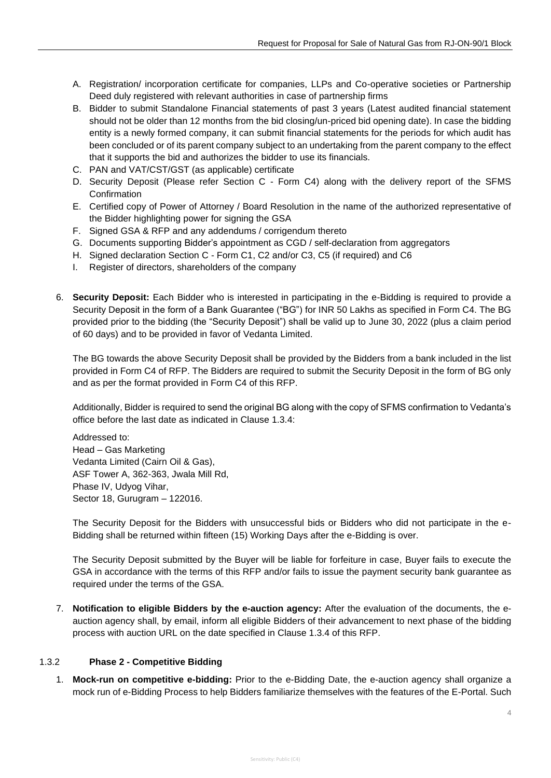- A. Registration/ incorporation certificate for companies, LLPs and Co-operative societies or Partnership Deed duly registered with relevant authorities in case of partnership firms
- B. Bidder to submit Standalone Financial statements of past 3 years (Latest audited financial statement should not be older than 12 months from the bid closing/un-priced bid opening date). In case the bidding entity is a newly formed company, it can submit financial statements for the periods for which audit has been concluded or of its parent company subject to an undertaking from the parent company to the effect that it supports the bid and authorizes the bidder to use its financials.
- C. PAN and VAT/CST/GST (as applicable) certificate
- D. Security Deposit (Please refer Section C Form C4) along with the delivery report of the SFMS Confirmation
- E. Certified copy of Power of Attorney / Board Resolution in the name of the authorized representative of the Bidder highlighting power for signing the GSA
- F. Signed GSA & RFP and any addendums / corrigendum thereto
- G. Documents supporting Bidder's appointment as CGD / self-declaration from aggregators
- H. Signed declaration Section C Form C1, C2 and/or C3, C5 (if required) and C6
- I. Register of directors, shareholders of the company
- 6. **Security Deposit:** Each Bidder who is interested in participating in the e-Bidding is required to provide a Security Deposit in the form of a Bank Guarantee ("BG") for INR 50 Lakhs as specified in Form C4. The BG provided prior to the bidding (the "Security Deposit") shall be valid up to June 30, 2022 (plus a claim period of 60 days) and to be provided in favor of Vedanta Limited.

The BG towards the above Security Deposit shall be provided by the Bidders from a bank included in the list provided in Form C4 of RFP. The Bidders are required to submit the Security Deposit in the form of BG only and as per the format provided in Form C4 of this RFP.

Additionally, Bidder is required to send the original BG along with the copy of SFMS confirmation to Vedanta's office before the last date as indicated in Clause 1.3.4:

Addressed to: Head – Gas Marketing Vedanta Limited (Cairn Oil & Gas), ASF Tower A, 362-363, Jwala Mill Rd, Phase IV, Udyog Vihar, Sector 18, Gurugram – 122016.

The Security Deposit for the Bidders with unsuccessful bids or Bidders who did not participate in the e-Bidding shall be returned within fifteen (15) Working Days after the e-Bidding is over.

The Security Deposit submitted by the Buyer will be liable for forfeiture in case, Buyer fails to execute the GSA in accordance with the terms of this RFP and/or fails to issue the payment security bank guarantee as required under the terms of the GSA.

7. **Notification to eligible Bidders by the e-auction agency:** After the evaluation of the documents, the eauction agency shall, by email, inform all eligible Bidders of their advancement to next phase of the bidding process with auction URL on the date specified in Clause [1.3.4](#page-5-0) of this RFP.

#### 1.3.2 **Phase 2 - Competitive Bidding**

1. **Mock-run on competitive e-bidding:** Prior to the e-Bidding Date, the e-auction agency shall organize a mock run of e-Bidding Process to help Bidders familiarize themselves with the features of the E-Portal. Such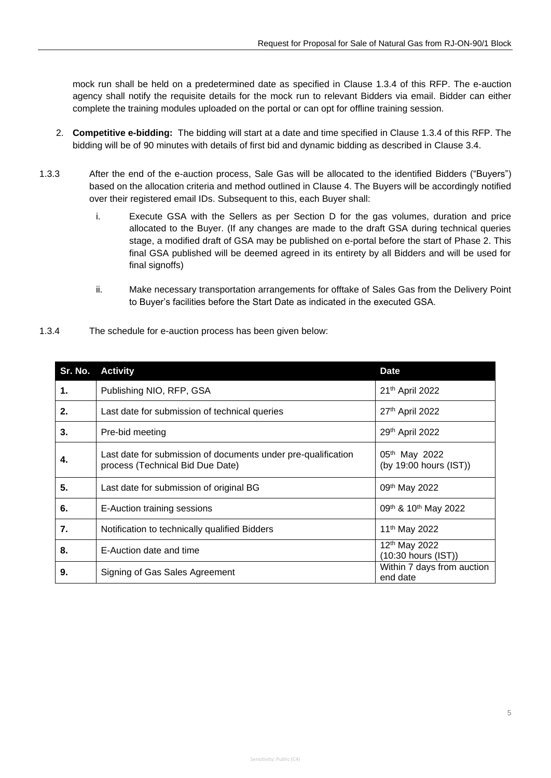mock run shall be held on a predetermined date as specified in Clause [1.3.4](#page-5-0) of this RFP. The e-auction agency shall notify the requisite details for the mock run to relevant Bidders via email. Bidder can either complete the training modules uploaded on the portal or can opt for offline training session.

- 2. **Competitive e-bidding:** The bidding will start at a date and time specified in Clause [1.3.4](#page-5-0) of this RFP. The bidding will be of 90 minutes with details of first bid and dynamic bidding as described in Clause 3.4.
- 1.3.3 After the end of the e-auction process, Sale Gas will be allocated to the identified Bidders ("Buyers") based on the allocation criteria and method outlined in Clause 4. The Buyers will be accordingly notified over their registered email IDs. Subsequent to this, each Buyer shall:
	- i. Execute GSA with the Sellers as per Section D for the gas volumes, duration and price allocated to the Buyer. (If any changes are made to the draft GSA during technical queries stage, a modified draft of GSA may be published on e-portal before the start of Phase 2. This final GSA published will be deemed agreed in its entirety by all Bidders and will be used for final signoffs)
	- ii. Make necessary transportation arrangements for offtake of Sales Gas from the Delivery Point to Buyer's facilities before the Start Date as indicated in the executed GSA.
- <span id="page-5-0"></span>1.3.4 The schedule for e-auction process has been given below:

|    | Sr. No. Activity                                                                                  | <b>Date</b>                                      |
|----|---------------------------------------------------------------------------------------------------|--------------------------------------------------|
| 1. | Publishing NIO, RFP, GSA                                                                          | 21th April 2022                                  |
| 2. | Last date for submission of technical queries                                                     | 27th April 2022                                  |
| 3. | Pre-bid meeting                                                                                   | 29th April 2022                                  |
| 4. | Last date for submission of documents under pre-qualification<br>process (Technical Bid Due Date) | 05th May 2022<br>(by 19:00 hours (IST))          |
| 5. | Last date for submission of original BG                                                           | 09 <sup>th</sup> May 2022                        |
| 6. | E-Auction training sessions                                                                       | 09th & 10th May 2022                             |
| 7. | Notification to technically qualified Bidders                                                     | 11 <sup>th</sup> May 2022                        |
| 8. | E-Auction date and time                                                                           | 12 <sup>th</sup> May 2022<br>(10:30 hours (IST)) |
| 9. | Signing of Gas Sales Agreement                                                                    | Within 7 days from auction<br>end date           |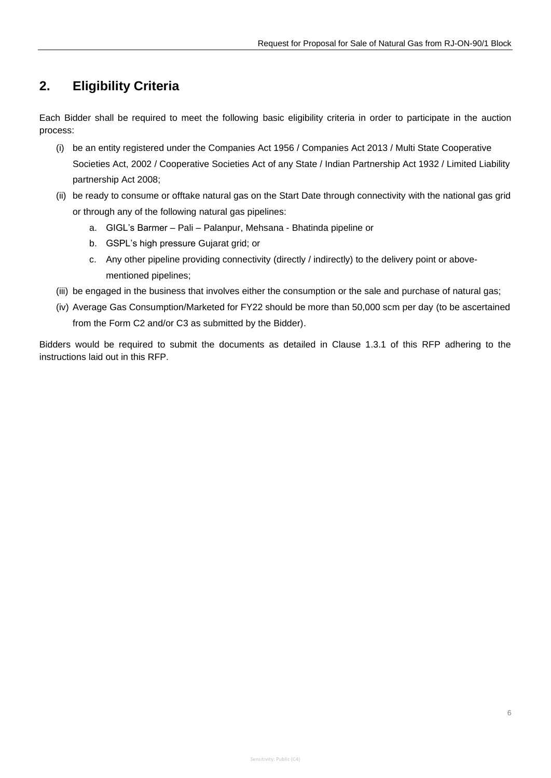# <span id="page-6-0"></span>**2. Eligibility Criteria**

Each Bidder shall be required to meet the following basic eligibility criteria in order to participate in the auction process:

- (i) be an entity registered under the Companies Act 1956 / Companies Act 2013 / Multi State Cooperative Societies Act, 2002 / Cooperative Societies Act of any State / Indian Partnership Act 1932 / Limited Liability partnership Act 2008;
- (ii) be ready to consume or offtake natural gas on the Start Date through connectivity with the national gas grid or through any of the following natural gas pipelines:
	- a. GIGL's Barmer Pali Palanpur, Mehsana Bhatinda pipeline or
	- b. GSPL's high pressure Gujarat grid; or
	- c. Any other pipeline providing connectivity (directly / indirectly) to the delivery point or abovementioned pipelines;
- (iii) be engaged in the business that involves either the consumption or the sale and purchase of natural gas;
- (iv) Average Gas Consumption/Marketed for FY22 should be more than 50,000 scm per day (to be ascertained from the Form C2 and/or C3 as submitted by the Bidder).

Bidders would be required to submit the documents as detailed in Clause 1.3.1 of this RFP adhering to the instructions laid out in this RFP.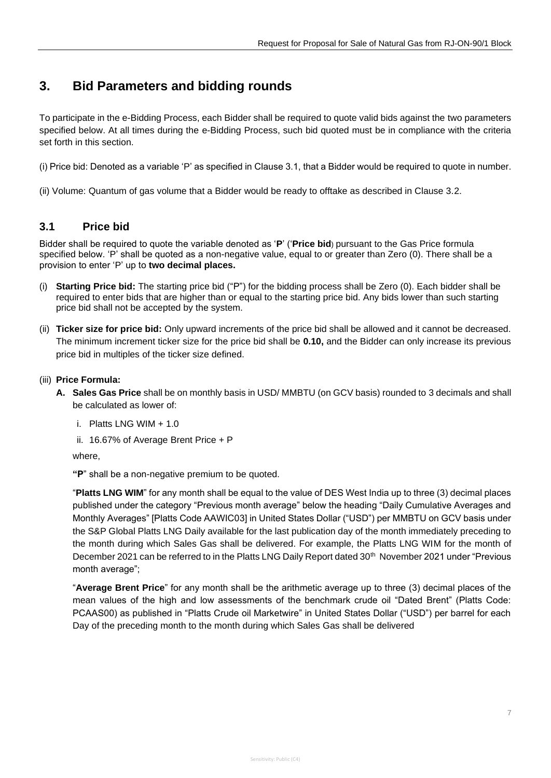# <span id="page-7-0"></span>**3. Bid Parameters and bidding rounds**

To participate in the e-Bidding Process, each Bidder shall be required to quote valid bids against the two parameters specified below. At all times during the e-Bidding Process, such bid quoted must be in compliance with the criteria set forth in this section.

(i) Price bid: Denoted as a variable 'P' as specified in Clause 3.1, that a Bidder would be required to quote in number.

<span id="page-7-1"></span>(ii) Volume: Quantum of gas volume that a Bidder would be ready to offtake as described in Clause 3.2.

## **3.1 Price bid**

Bidder shall be required to quote the variable denoted as '**P**' ('**Price bid**) pursuant to the Gas Price formula specified below. 'P' shall be quoted as a non-negative value, equal to or greater than Zero (0). There shall be a provision to enter 'P' up to **two decimal places.**

- (i) **Starting Price bid:** The starting price bid ("P") for the bidding process shall be Zero (0). Each bidder shall be required to enter bids that are higher than or equal to the starting price bid. Any bids lower than such starting price bid shall not be accepted by the system.
- (ii) **Ticker size for price bid:** Only upward increments of the price bid shall be allowed and it cannot be decreased. The minimum increment ticker size for the price bid shall be **0.10,** and the Bidder can only increase its previous price bid in multiples of the ticker size defined.
- (iii) **Price Formula:**
	- **A. Sales Gas Price** shall be on monthly basis in USD/ MMBTU (on GCV basis) rounded to 3 decimals and shall be calculated as lower of:
		- i. Platts  $ING$  WIM  $+ 1.0$
		- ii. 16.67% of Average Brent Price + P

where,

**"P**" shall be a non-negative premium to be quoted.

"**Platts LNG WIM**" for any month shall be equal to the value of DES West India up to three (3) decimal places published under the category "Previous month average" below the heading "Daily Cumulative Averages and Monthly Averages" [Platts Code AAWIC03] in United States Dollar ("USD") per MMBTU on GCV basis under the S&P Global Platts LNG Daily available for the last publication day of the month immediately preceding to the month during which Sales Gas shall be delivered. For example, the Platts LNG WIM for the month of December 2021 can be referred to in the Platts LNG Daily Report dated 30<sup>th</sup> November 2021 under "Previous month average";

"**Average Brent Price**" for any month shall be the arithmetic average up to three (3) decimal places of the mean values of the high and low assessments of the benchmark crude oil "Dated Brent" (Platts Code: PCAAS00) as published in "Platts Crude oil Marketwire" in United States Dollar ("USD") per barrel for each Day of the preceding month to the month during which Sales Gas shall be delivered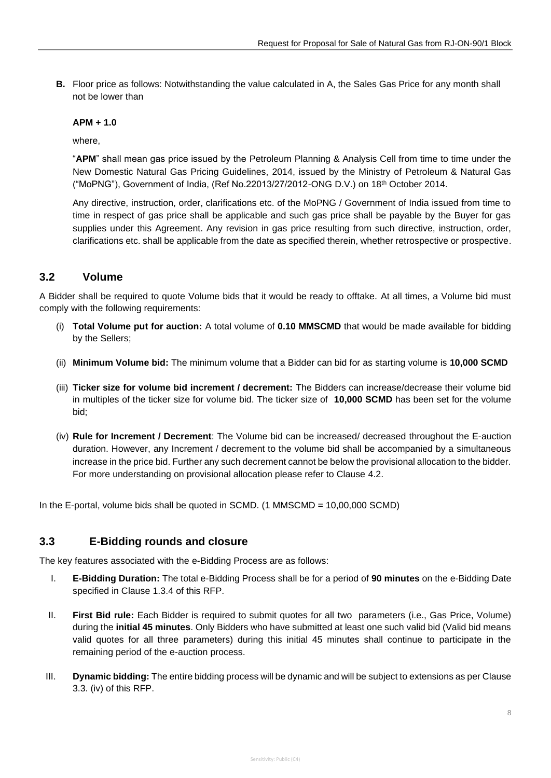**B.** Floor price as follows: Notwithstanding the value calculated in A, the Sales Gas Price for any month shall not be lower than

#### **APM + 1.0**

where,

"**APM**" shall mean gas price issued by the Petroleum Planning & Analysis Cell from time to time under the New Domestic Natural Gas Pricing Guidelines, 2014, issued by the Ministry of Petroleum & Natural Gas ("MoPNG"), Government of India, (Ref No.22013/27/2012-ONG D.V.) on 18th October 2014.

Any directive, instruction, order, clarifications etc. of the MoPNG / Government of India issued from time to time in respect of gas price shall be applicable and such gas price shall be payable by the Buyer for gas supplies under this Agreement. Any revision in gas price resulting from such directive, instruction, order, clarifications etc. shall be applicable from the date as specified therein, whether retrospective or prospective.

## <span id="page-8-0"></span>**3.2 Volume**

A Bidder shall be required to quote Volume bids that it would be ready to offtake. At all times, a Volume bid must comply with the following requirements:

- (i) **Total Volume put for auction:** A total volume of **0.10 MMSCMD** that would be made available for bidding by the Sellers;
- (ii) **Minimum Volume bid:** The minimum volume that a Bidder can bid for as starting volume is **10,000 SCMD**
- (iii) **Ticker size for volume bid increment / decrement:** The Bidders can increase/decrease their volume bid in multiples of the ticker size for volume bid. The ticker size of **10,000 SCMD** has been set for the volume bid;
- (iv) **Rule for Increment / Decrement**: The Volume bid can be increased/ decreased throughout the E-auction duration. However, any Increment / decrement to the volume bid shall be accompanied by a simultaneous increase in the price bid. Further any such decrement cannot be below the provisional allocation to the bidder. For more understanding on provisional allocation please refer to Clause 4.2.

In the E-portal, volume bids shall be quoted in SCMD. (1 MMSCMD = 10,00,000 SCMD)

## <span id="page-8-1"></span>**3.3 E-Bidding rounds and closure**

The key features associated with the e-Bidding Process are as follows:

- I. **E-Bidding Duration:** The total e-Bidding Process shall be for a period of **90 minutes** on the e-Bidding Date specified in Clause 1.3.4 of this RFP.
- II. **First Bid rule:** Each Bidder is required to submit quotes for all two parameters (i.e., Gas Price, Volume) during the **initial 45 minutes**. Only Bidders who have submitted at least one such valid bid (Valid bid means valid quotes for all three parameters) during this initial 45 minutes shall continue to participate in the remaining period of the e-auction process.
- III. **Dynamic bidding:** The entire bidding process will be dynamic and will be subject to extensions as per Clause 3.3. (iv) of this RFP.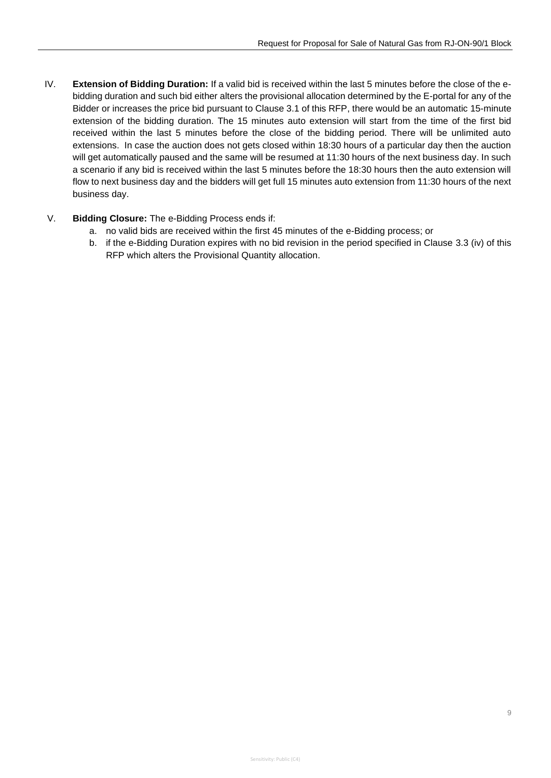- IV. **Extension of Bidding Duration:** If a valid bid is received within the last 5 minutes before the close of the ebidding duration and such bid either alters the provisional allocation determined by the E-portal for any of the Bidder or increases the price bid pursuant to Clause 3.1 of this RFP, there would be an automatic 15-minute extension of the bidding duration. The 15 minutes auto extension will start from the time of the first bid received within the last 5 minutes before the close of the bidding period. There will be unlimited auto extensions. In case the auction does not gets closed within 18:30 hours of a particular day then the auction will get automatically paused and the same will be resumed at 11:30 hours of the next business day. In such a scenario if any bid is received within the last 5 minutes before the 18:30 hours then the auto extension will flow to next business day and the bidders will get full 15 minutes auto extension from 11:30 hours of the next business day.
- V. **Bidding Closure:** The e-Bidding Process ends if:
	- a. no valid bids are received within the first 45 minutes of the e-Bidding process; or
	- b. if the e-Bidding Duration expires with no bid revision in the period specified in Clause 3.3 (iv) of this RFP which alters the Provisional Quantity allocation.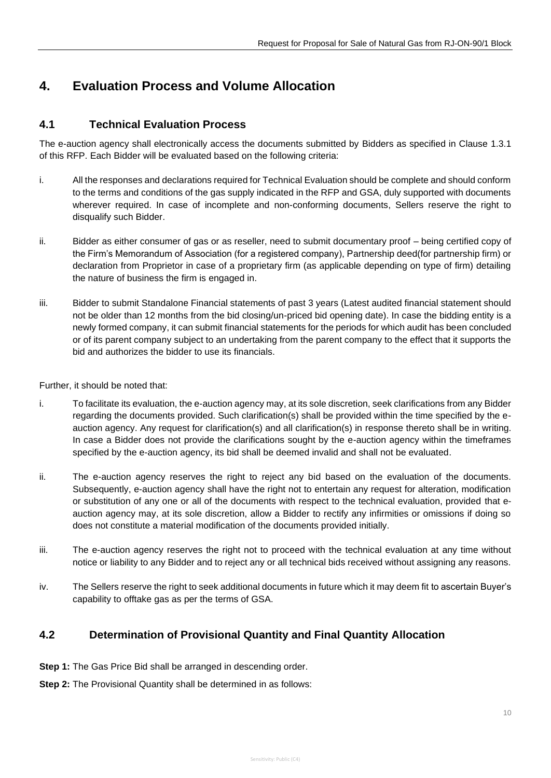# <span id="page-10-0"></span>**4. Evaluation Process and Volume Allocation**

## <span id="page-10-1"></span>**4.1 Technical Evaluation Process**

The e-auction agency shall electronically access the documents submitted by Bidders as specified in Clause 1.3.1 of this RFP. Each Bidder will be evaluated based on the following criteria:

- i. All the responses and declarations required for Technical Evaluation should be complete and should conform to the terms and conditions of the gas supply indicated in the RFP and GSA, duly supported with documents wherever required. In case of incomplete and non-conforming documents, Sellers reserve the right to disqualify such Bidder.
- ii. Bidder as either consumer of gas or as reseller, need to submit documentary proof being certified copy of the Firm's Memorandum of Association (for a registered company), Partnership deed(for partnership firm) or declaration from Proprietor in case of a proprietary firm (as applicable depending on type of firm) detailing the nature of business the firm is engaged in.
- iii. Bidder to submit Standalone Financial statements of past 3 years (Latest audited financial statement should not be older than 12 months from the bid closing/un-priced bid opening date). In case the bidding entity is a newly formed company, it can submit financial statements for the periods for which audit has been concluded or of its parent company subject to an undertaking from the parent company to the effect that it supports the bid and authorizes the bidder to use its financials.

Further, it should be noted that:

- i. To facilitate its evaluation, the e-auction agency may, at its sole discretion, seek clarifications from any Bidder regarding the documents provided. Such clarification(s) shall be provided within the time specified by the eauction agency. Any request for clarification(s) and all clarification(s) in response thereto shall be in writing. In case a Bidder does not provide the clarifications sought by the e-auction agency within the timeframes specified by the e-auction agency, its bid shall be deemed invalid and shall not be evaluated.
- ii. The e-auction agency reserves the right to reject any bid based on the evaluation of the documents. Subsequently, e-auction agency shall have the right not to entertain any request for alteration, modification or substitution of any one or all of the documents with respect to the technical evaluation, provided that eauction agency may, at its sole discretion, allow a Bidder to rectify any infirmities or omissions if doing so does not constitute a material modification of the documents provided initially.
- iii. The e-auction agency reserves the right not to proceed with the technical evaluation at any time without notice or liability to any Bidder and to reject any or all technical bids received without assigning any reasons.
- iv. The Sellers reserve the right to seek additional documents in future which it may deem fit to ascertain Buyer's capability to offtake gas as per the terms of GSA.

## <span id="page-10-2"></span>**4.2 Determination of Provisional Quantity and Final Quantity Allocation**

- **Step 1:** The Gas Price Bid shall be arranged in descending order.
- **Step 2:** The Provisional Quantity shall be determined in as follows: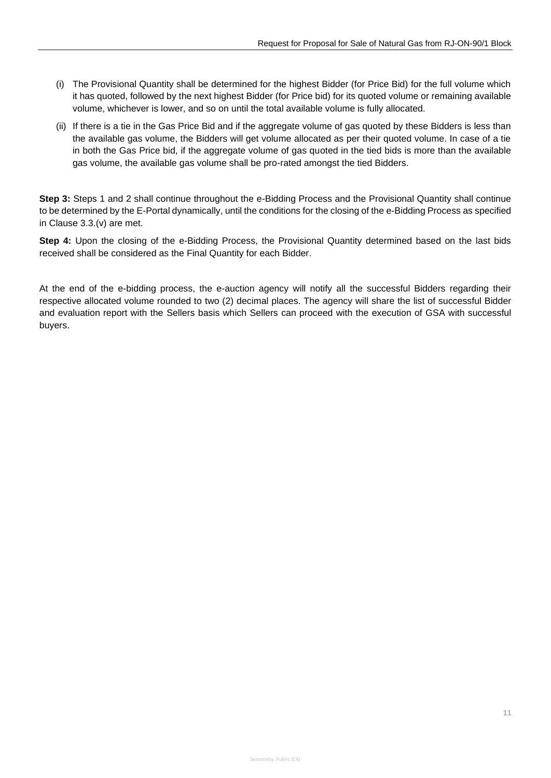- (i) The Provisional Quantity shall be determined for the highest Bidder (for Price Bid) for the full volume which it has quoted, followed by the next highest Bidder (for Price bid) for its quoted volume or remaining available volume, whichever is lower, and so on until the total available volume is fully allocated.
- (ii) If there is a tie in the Gas Price Bid and if the aggregate volume of gas quoted by these Bidders is less than the available gas volume, the Bidders will get volume allocated as per their quoted volume. In case of a tie in both the Gas Price bid, if the aggregate volume of gas quoted in the tied bids is more than the available gas volume, the available gas volume shall be pro-rated amongst the tied Bidders.

**Step 3:** Steps 1 and 2 shall continue throughout the e-Bidding Process and the Provisional Quantity shall continue to be determined by the E-Portal dynamically, until the conditions for the closing of the e-Bidding Process as specified in Clause 3.3.(v) are met.

**Step 4:** Upon the closing of the e-Bidding Process, the Provisional Quantity determined based on the last bids received shall be considered as the Final Quantity for each Bidder.

At the end of the e-bidding process, the e-auction agency will notify all the successful Bidders regarding their respective allocated volume rounded to two (2) decimal places. The agency will share the list of successful Bidder and evaluation report with the Sellers basis which Sellers can proceed with the execution of GSA with successful buyers.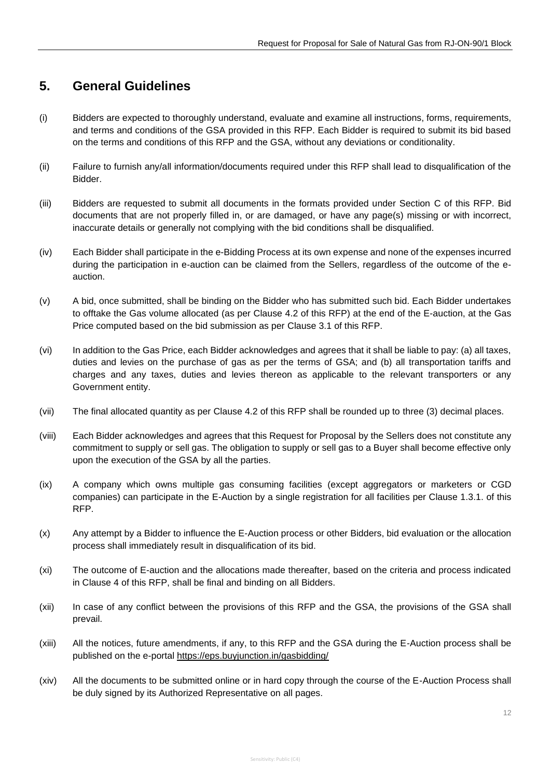# <span id="page-12-0"></span>**5. General Guidelines**

- (i) Bidders are expected to thoroughly understand, evaluate and examine all instructions, forms, requirements, and terms and conditions of the GSA provided in this RFP. Each Bidder is required to submit its bid based on the terms and conditions of this RFP and the GSA, without any deviations or conditionality.
- (ii) Failure to furnish any/all information/documents required under this RFP shall lead to disqualification of the Bidder.
- (iii) Bidders are requested to submit all documents in the formats provided under Section C of this RFP. Bid documents that are not properly filled in, or are damaged, or have any page(s) missing or with incorrect, inaccurate details or generally not complying with the bid conditions shall be disqualified.
- (iv) Each Bidder shall participate in the e-Bidding Process at its own expense and none of the expenses incurred during the participation in e-auction can be claimed from the Sellers, regardless of the outcome of the eauction.
- (v) A bid, once submitted, shall be binding on the Bidder who has submitted such bid. Each Bidder undertakes to offtake the Gas volume allocated (as per Clause 4.2 of this RFP) at the end of the E-auction, at the Gas Price computed based on the bid submission as per Clause 3.1 of this RFP.
- (vi) In addition to the Gas Price, each Bidder acknowledges and agrees that it shall be liable to pay: (a) all taxes, duties and levies on the purchase of gas as per the terms of GSA; and (b) all transportation tariffs and charges and any taxes, duties and levies thereon as applicable to the relevant transporters or any Government entity.
- (vii) The final allocated quantity as per Clause 4.2 of this RFP shall be rounded up to three (3) decimal places.
- (viii) Each Bidder acknowledges and agrees that this Request for Proposal by the Sellers does not constitute any commitment to supply or sell gas. The obligation to supply or sell gas to a Buyer shall become effective only upon the execution of the GSA by all the parties.
- (ix) A company which owns multiple gas consuming facilities (except aggregators or marketers or CGD companies) can participate in the E-Auction by a single registration for all facilities per Clause 1.3.1. of this RFP.
- (x) Any attempt by a Bidder to influence the E-Auction process or other Bidders, bid evaluation or the allocation process shall immediately result in disqualification of its bid.
- (xi) The outcome of E-auction and the allocations made thereafter, based on the criteria and process indicated in Clause 4 of this RFP, shall be final and binding on all Bidders.
- (xii) In case of any conflict between the provisions of this RFP and the GSA, the provisions of the GSA shall prevail.
- (xiii) All the notices, future amendments, if any, to this RFP and the GSA during the E-Auction process shall be published on the e-portal<https://eps.buyjunction.in/gasbidding/>
- (xiv) All the documents to be submitted online or in hard copy through the course of the E-Auction Process shall be duly signed by its Authorized Representative on all pages.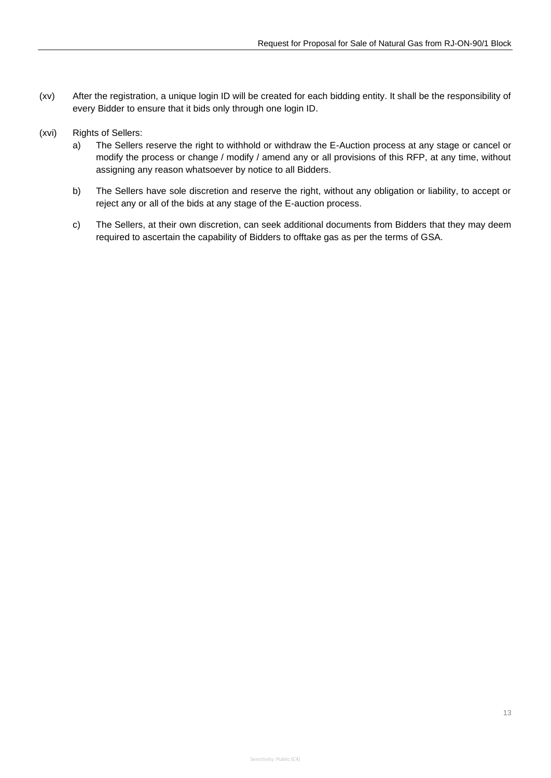- (xv) After the registration, a unique login ID will be created for each bidding entity. It shall be the responsibility of every Bidder to ensure that it bids only through one login ID.
- (xvi) Rights of Sellers:
	- a) The Sellers reserve the right to withhold or withdraw the E-Auction process at any stage or cancel or modify the process or change / modify / amend any or all provisions of this RFP, at any time, without assigning any reason whatsoever by notice to all Bidders.
	- b) The Sellers have sole discretion and reserve the right, without any obligation or liability, to accept or reject any or all of the bids at any stage of the E-auction process.
	- c) The Sellers, at their own discretion, can seek additional documents from Bidders that they may deem required to ascertain the capability of Bidders to offtake gas as per the terms of GSA.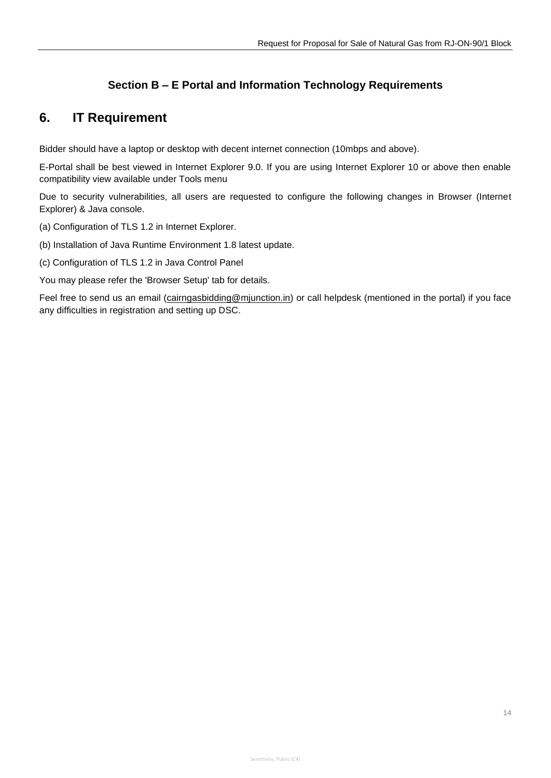## **Section B – E Portal and Information Technology Requirements**

# <span id="page-14-0"></span>**6. IT Requirement**

Bidder should have a laptop or desktop with decent internet connection (10mbps and above).

E-Portal shall be best viewed in Internet Explorer 9.0. If you are using Internet Explorer 10 or above then enable compatibility view available under Tools menu

Due to security vulnerabilities, all users are requested to configure the following changes in Browser (Internet Explorer) & Java console.

(a) Configuration of TLS 1.2 in Internet Explorer.

(b) Installation of Java Runtime Environment 1.8 latest update.

(c) Configuration of TLS 1.2 in Java Control Panel

You may please refer the 'Browser Setup' tab for details.

Feel free to send us an email [\(cairngasbidding@mjunction.in\)](mailto:cairngasbidding@mjunction.in) or call helpdesk (mentioned in the portal) if you face any difficulties in registration and setting up DSC.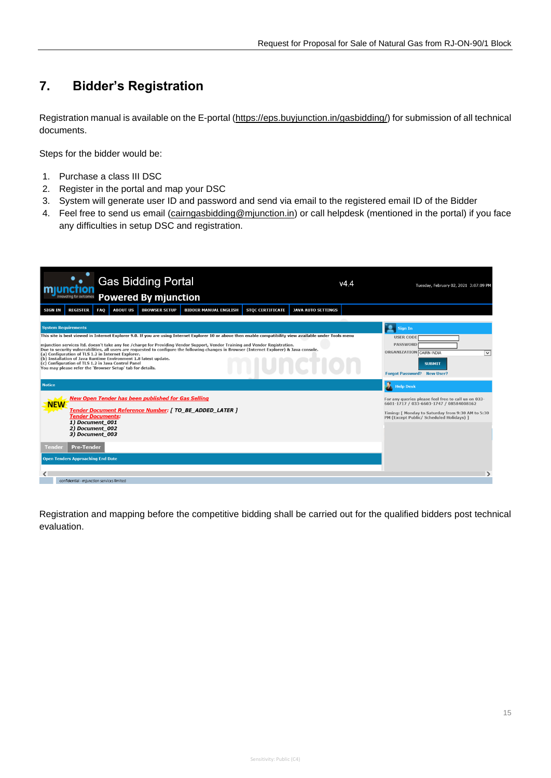# <span id="page-15-0"></span>**7. Bidder's Registration**

Registration manual is available on the E-portal [\(https://eps.buyjunction.in/gasbidding/\)](https://eps.buyjunction.in/gasbidding/) for submission of all technical documents.

Steps for the bidder would be:

- 1. Purchase a class III DSC
- 2. Register in the portal and map your DSC
- 3. System will generate user ID and password and send via email to the registered email ID of the Bidder
- 4. Feel free to send us email [\(cairngasbidding@mjunction.in\)](mailto:cairngasbidding@mjunction.in) or call helpdesk (mentioned in the portal) if you face any difficulties in setup DSC and registration.

| <b>Gas Bidding Portal</b><br><b>Powered By mjunction</b><br>innovating for outcomes                                                                                                                                                                                                                                                                                                                                                                                                                                                                                                                                                                                                                                | v444                                                                                                                                                                                            | Tuesday, February 02, 2021 3:07:09 PM                                                                                                                  |  |
|--------------------------------------------------------------------------------------------------------------------------------------------------------------------------------------------------------------------------------------------------------------------------------------------------------------------------------------------------------------------------------------------------------------------------------------------------------------------------------------------------------------------------------------------------------------------------------------------------------------------------------------------------------------------------------------------------------------------|-------------------------------------------------------------------------------------------------------------------------------------------------------------------------------------------------|--------------------------------------------------------------------------------------------------------------------------------------------------------|--|
| <b>REGISTER</b><br>FAQ<br><b>ABOUT US</b><br><b>BIDDER MANUAL ENGLISH</b><br><b>STOC CERTIFICATE</b><br><b>SIGN IN</b><br><b>BROWSER SETUP</b>                                                                                                                                                                                                                                                                                                                                                                                                                                                                                                                                                                     | <b>JAVA AUTO SETTINGS</b>                                                                                                                                                                       |                                                                                                                                                        |  |
| <b>System Requirements</b><br>This site is best viewed in Internet Explorer 9.0. If you are using Internet Explorer 10 or above then enable compatibility view available under Tools menu<br>mjunction services ltd. doesn't take any fee /charge for Providing Vendor Support, Vendor Training and Vendor Registration.<br>Due to security vulnerabilities, all users are requested to configure the following changes in Browser (Internet Explorer) & Java console.<br>(a) Configuration of TLS 1.2 in Internet Explorer.<br>(b) Installation of Java Runtime Environment 1.8 latest update.<br>(c) Configuration of TLS 1.2 in Java Control Panel<br>You may please refer the 'Browser Setup' tab for details. |                                                                                                                                                                                                 | <b>Sign In</b><br><b>USER CODE</b><br><b>PASSWORD</b><br>ORGANIZATION CAIRN INDIA<br>$\check{ }$<br><b>SUBMIT</b><br><b>Forgot Password? New User?</b> |  |
| <b>Notice</b>                                                                                                                                                                                                                                                                                                                                                                                                                                                                                                                                                                                                                                                                                                      |                                                                                                                                                                                                 | <b>N</b> Help Desk                                                                                                                                     |  |
| <b>New Open Tender has been published for Gas Selling</b><br><b>NEW</b><br>Tender Document Reference Number: [ TO_BE_ADDED_LATER ]<br><b>Tender Documents:</b><br>1) Document 001<br>2) Document 002                                                                                                                                                                                                                                                                                                                                                                                                                                                                                                               | For any queries please feel free to call us on 033-<br>6601-1717 / 033-6603-1747 / 08584008162<br>Timing: [ Monday to Saturday from 9:30 AM to 5:30<br>PM (Except Public/ Scheduled Holidays) ] |                                                                                                                                                        |  |
| 3) Document 003<br><b>Pre-Tender</b><br>Tender                                                                                                                                                                                                                                                                                                                                                                                                                                                                                                                                                                                                                                                                     |                                                                                                                                                                                                 |                                                                                                                                                        |  |
| <b>Open Tenders Approaching End Date</b>                                                                                                                                                                                                                                                                                                                                                                                                                                                                                                                                                                                                                                                                           |                                                                                                                                                                                                 |                                                                                                                                                        |  |
|                                                                                                                                                                                                                                                                                                                                                                                                                                                                                                                                                                                                                                                                                                                    |                                                                                                                                                                                                 |                                                                                                                                                        |  |
| confidential - mjunction services limited                                                                                                                                                                                                                                                                                                                                                                                                                                                                                                                                                                                                                                                                          |                                                                                                                                                                                                 |                                                                                                                                                        |  |

Registration and mapping before the competitive bidding shall be carried out for the qualified bidders post technical evaluation.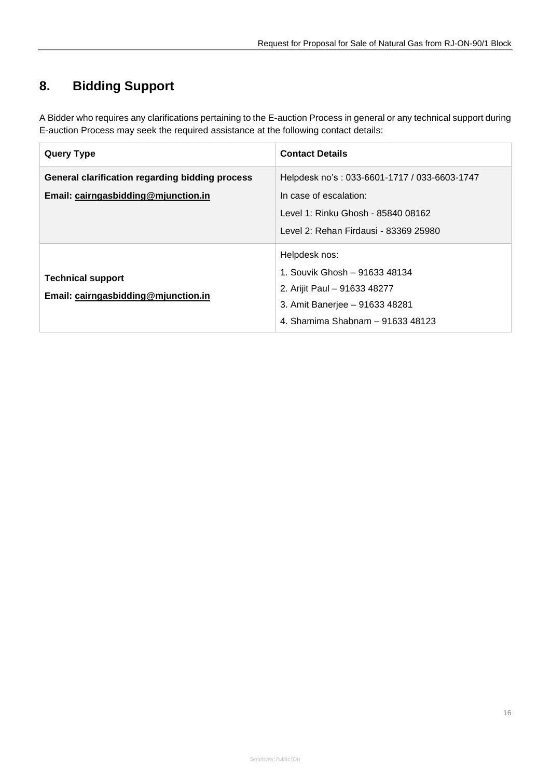# <span id="page-16-0"></span>**8. Bidding Support**

A Bidder who requires any clarifications pertaining to the E-auction Process in general or any technical support during E-auction Process may seek the required assistance at the following contact details:

| <b>Query Type</b>                                                                      | <b>Contact Details</b>                                                                                                                                |
|----------------------------------------------------------------------------------------|-------------------------------------------------------------------------------------------------------------------------------------------------------|
| General clarification regarding bidding process<br>Email: cairngasbidding@mjunction.in | Helpdesk no's: 033-6601-1717 / 033-6603-1747<br>In case of escalation:<br>Level 1: Rinku Ghosh - 85840 08162<br>Level 2: Rehan Firdausi - 83369 25980 |
| <b>Technical support</b><br>Email: cairngasbidding@mjunction.in                        | Helpdesk nos:<br>1. Souvik Ghosh - 91633 48134<br>2. Arijit Paul - 91633 48277<br>3. Amit Banerjee - 91633 48281<br>4. Shamima Shabnam – 91633 48123  |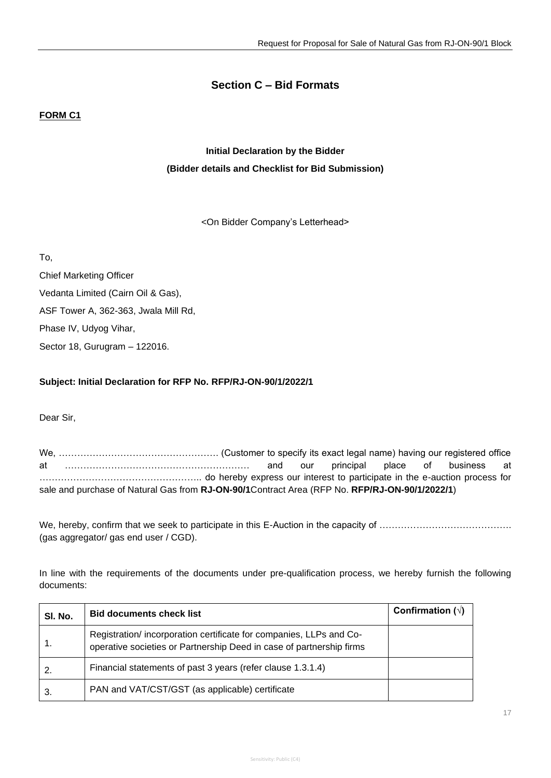## **Section C – Bid Formats**

## **FORM C1**

# **Initial Declaration by the Bidder (Bidder details and Checklist for Bid Submission)**

<On Bidder Company's Letterhead>

To,

Chief Marketing Officer Vedanta Limited (Cairn Oil & Gas), ASF Tower A, 362-363, Jwala Mill Rd, Phase IV, Udyog Vihar, Sector 18, Gurugram – 122016.

## **Subject: Initial Declaration for RFP No. RFP/RJ-ON-90/1/2022/1**

Dear Sir,

We, ……………………………………………. (Customer to specify its exact legal name) having our registered office at …………………………………………………… and our principal place of business at …………………………………………….. do hereby express our interest to participate in the e-auction process for sale and purchase of Natural Gas from **RJ-ON-90/1**Contract Area (RFP No. **RFP/RJ-ON-90/1/2022/1**)

We, hereby, confirm that we seek to participate in this E-Auction in the capacity of ……………………………………. (gas aggregator/ gas end user / CGD).

In line with the requirements of the documents under pre-qualification process, we hereby furnish the following documents:

| SI. No. | <b>Bid documents check list</b>                                                                                                            | Confirmation $(\sqrt{)}$ |
|---------|--------------------------------------------------------------------------------------------------------------------------------------------|--------------------------|
|         | Registration/incorporation certificate for companies, LLPs and Co-<br>operative societies or Partnership Deed in case of partnership firms |                          |
|         | Financial statements of past 3 years (refer clause 1.3.1.4)                                                                                |                          |
|         | PAN and VAT/CST/GST (as applicable) certificate                                                                                            |                          |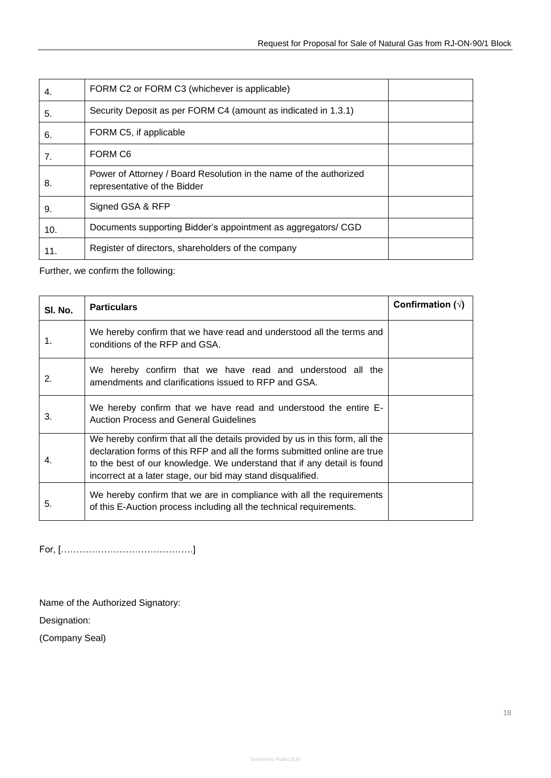| 4.  | FORM C2 or FORM C3 (whichever is applicable)                                                       |  |
|-----|----------------------------------------------------------------------------------------------------|--|
| 5.  | Security Deposit as per FORM C4 (amount as indicated in 1.3.1)                                     |  |
| 6.  | FORM C5, if applicable                                                                             |  |
| 7.  | FORM C6                                                                                            |  |
| 8.  | Power of Attorney / Board Resolution in the name of the authorized<br>representative of the Bidder |  |
| 9.  | Signed GSA & RFP                                                                                   |  |
| 10. | Documents supporting Bidder's appointment as aggregators/ CGD                                      |  |
| 11. | Register of directors, shareholders of the company                                                 |  |

Further, we confirm the following:

| SI. No. | <b>Particulars</b>                                                                                                                                                                                                                                                                                 | Confirmation $(\sqrt{)}$ |
|---------|----------------------------------------------------------------------------------------------------------------------------------------------------------------------------------------------------------------------------------------------------------------------------------------------------|--------------------------|
| 1.      | We hereby confirm that we have read and understood all the terms and<br>conditions of the RFP and GSA.                                                                                                                                                                                             |                          |
| 2.      | We hereby confirm that we have read and understood all the<br>amendments and clarifications issued to RFP and GSA.                                                                                                                                                                                 |                          |
| 3.      | We hereby confirm that we have read and understood the entire E-<br><b>Auction Process and General Guidelines</b>                                                                                                                                                                                  |                          |
| 4.      | We hereby confirm that all the details provided by us in this form, all the<br>declaration forms of this RFP and all the forms submitted online are true<br>to the best of our knowledge. We understand that if any detail is found<br>incorrect at a later stage, our bid may stand disqualified. |                          |
| 5.      | We hereby confirm that we are in compliance with all the requirements<br>of this E-Auction process including all the technical requirements.                                                                                                                                                       |                          |

For, […………………………………….]

Name of the Authorized Signatory:

Designation:

(Company Seal)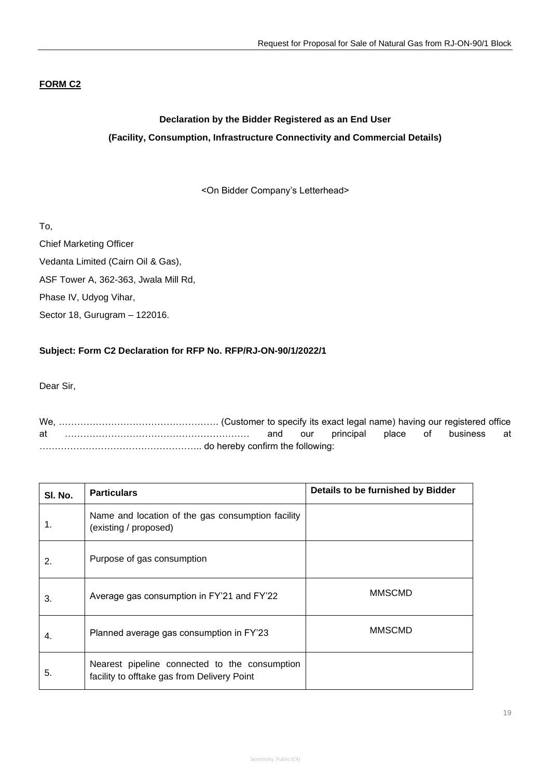## **FORM C2**

# **Declaration by the Bidder Registered as an End User (Facility, Consumption, Infrastructure Connectivity and Commercial Details)**

<On Bidder Company's Letterhead>

To,

Chief Marketing Officer Vedanta Limited (Cairn Oil & Gas), ASF Tower A, 362-363, Jwala Mill Rd, Phase IV, Udyog Vihar, Sector 18, Gurugram – 122016.

## **Subject: Form C2 Declaration for RFP No. RFP/RJ-ON-90/1/2022/1**

Dear Sir,

We, ……………………………………………. (Customer to specify its exact legal name) having our registered office at …………………………………………………… and our principal place of business at …………………………………………….. do hereby confirm the following:

| SI. No. | <b>Particulars</b>                                                                           | Details to be furnished by Bidder |
|---------|----------------------------------------------------------------------------------------------|-----------------------------------|
| 1.      | Name and location of the gas consumption facility<br>(existing / proposed)                   |                                   |
| 2.      | Purpose of gas consumption                                                                   |                                   |
| 3.      | Average gas consumption in FY'21 and FY'22                                                   | <b>MMSCMD</b>                     |
| 4.      | Planned average gas consumption in FY'23                                                     | <b>MMSCMD</b>                     |
| 5.      | Nearest pipeline connected to the consumption<br>facility to offtake gas from Delivery Point |                                   |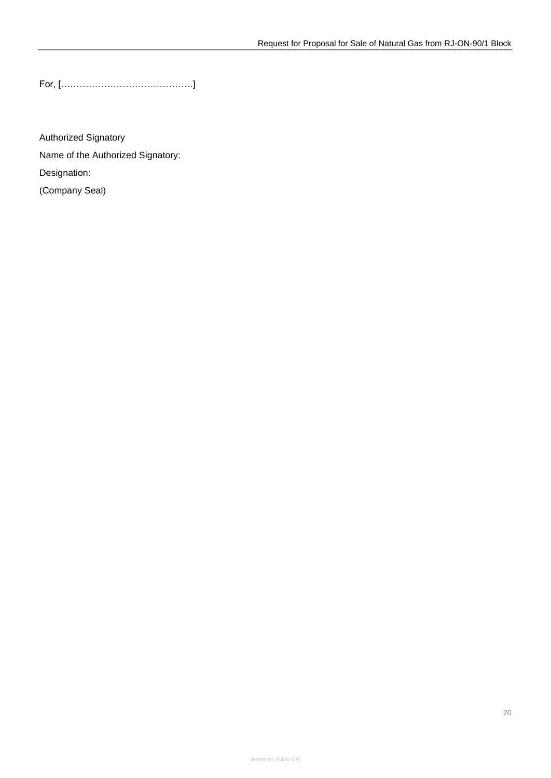For, […………………………………….]

Authorized Signatory Name of the Authorized Signatory: Designation: (Company Seal)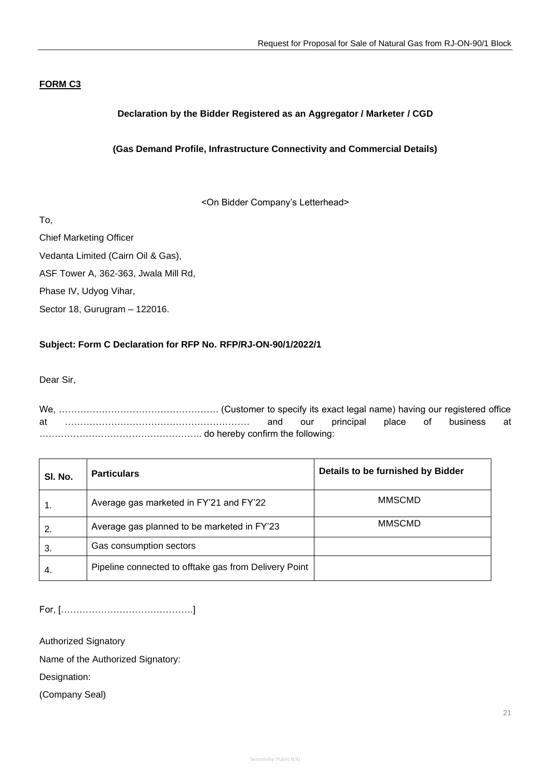### **FORM C3**

## **Declaration by the Bidder Registered as an Aggregator / Marketer / CGD**

## **(Gas Demand Profile, Infrastructure Connectivity and Commercial Details)**

<On Bidder Company's Letterhead>

To,

Chief Marketing Officer

Vedanta Limited (Cairn Oil & Gas),

ASF Tower A, 362-363, Jwala Mill Rd,

Phase IV, Udyog Vihar,

Sector 18, Gurugram – 122016.

#### **Subject: Form C Declaration for RFP No. RFP/RJ-ON-90/1/2022/1**

Dear Sir,

We, ……………………………………………. (Customer to specify its exact legal name) having our registered office at …………………………………………………… and our principal place of business at …………………………………………….. do hereby confirm the following:

| SI. No. | <b>Particulars</b>                                    | Details to be furnished by Bidder |
|---------|-------------------------------------------------------|-----------------------------------|
|         | Average gas marketed in FY'21 and FY'22               | <b>MMSCMD</b>                     |
| 2.      | Average gas planned to be marketed in FY'23           | <b>MMSCMD</b>                     |
| 3.      | Gas consumption sectors                               |                                   |
| -4.     | Pipeline connected to offtake gas from Delivery Point |                                   |

For, […………………………………….]

Authorized Signatory

Name of the Authorized Signatory:

Designation:

(Company Seal)

21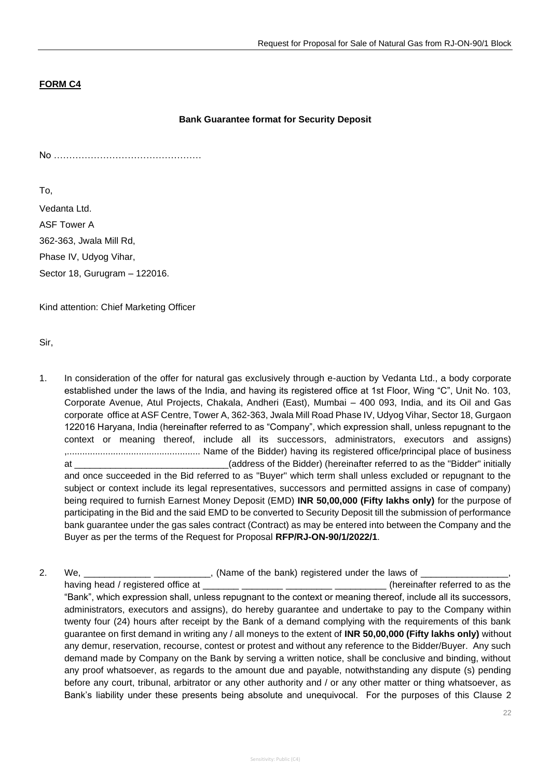## **FORM C4**

#### **Bank Guarantee format for Security Deposit**

No …………………………………………

To,

Vedanta Ltd. ASF Tower A 362-363, Jwala Mill Rd, Phase IV, Udyog Vihar, Sector 18, Gurugram – 122016.

Kind attention: Chief Marketing Officer

Sir,

- 1. In consideration of the offer for natural gas exclusively through e-auction by Vedanta Ltd., a body corporate established under the laws of the India, and having its registered office at 1st Floor, Wing "C", Unit No. 103, Corporate Avenue, Atul Projects, Chakala, Andheri (East), Mumbai – 400 093, India, and its Oil and Gas corporate office at ASF Centre, Tower A, 362-363, Jwala Mill Road Phase IV, Udyog Vihar, Sector 18, Gurgaon 122016 Haryana, India (hereinafter referred to as "Company", which expression shall, unless repugnant to the context or meaning thereof, include all its successors, administrators, executors and assigns) ,.................................................... Name of the Bidder) having its registered office/principal place of business at \_\_\_\_\_\_\_\_\_\_\_\_\_\_\_\_\_\_\_\_\_\_\_\_\_\_\_\_\_\_(address of the Bidder) (hereinafter referred to as the "Bidder" initially and once succeeded in the Bid referred to as "Buyer" which term shall unless excluded or repugnant to the subject or context include its legal representatives, successors and permitted assigns in case of company) being required to furnish Earnest Money Deposit (EMD) **INR 50,00,000 (Fifty lakhs only)** for the purpose of participating in the Bid and the said EMD to be converted to Security Deposit till the submission of performance bank guarantee under the gas sales contract (Contract) as may be entered into between the Company and the Buyer as per the terms of the Request for Proposal **RFP/RJ-ON-90/1/2022/1**.
- 2. We, \_\_\_\_\_\_\_\_\_\_\_\_\_\_\_\_\_\_\_\_\_\_\_\_\_\_, (Name of the bank) registered under the laws of \_\_ having head / registered office at \_\_\_\_\_\_\_ \_\_\_\_\_\_\_\_ \_\_\_\_\_\_\_\_\_ \_\_\_\_\_\_\_\_\_\_ (hereinafter referred to as the "Bank", which expression shall, unless repugnant to the context or meaning thereof, include all its successors, administrators, executors and assigns), do hereby guarantee and undertake to pay to the Company within twenty four (24) hours after receipt by the Bank of a demand complying with the requirements of this bank guarantee on first demand in writing any / all moneys to the extent of **INR 50,00,000 (Fifty lakhs only)** without any demur, reservation, recourse, contest or protest and without any reference to the Bidder/Buyer. Any such demand made by Company on the Bank by serving a written notice, shall be conclusive and binding, without any proof whatsoever, as regards to the amount due and payable, notwithstanding any dispute (s) pending before any court, tribunal, arbitrator or any other authority and / or any other matter or thing whatsoever, as Bank's liability under these presents being absolute and unequivocal. For the purposes of this Clause 2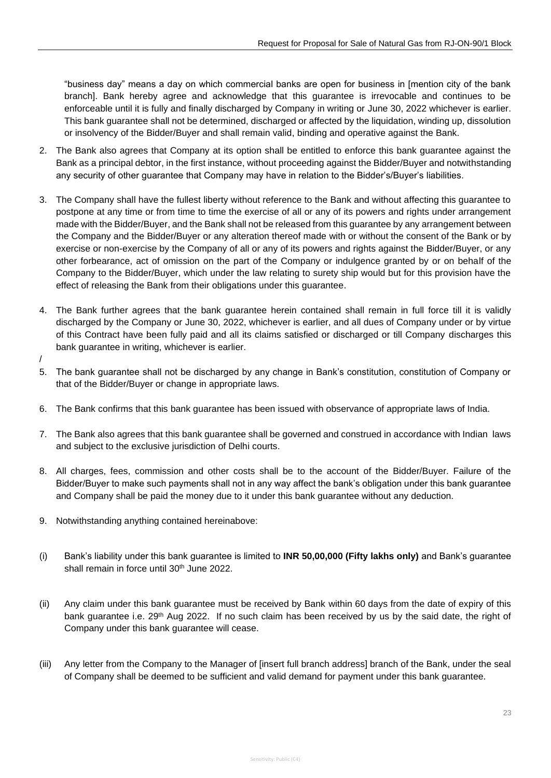"business day" means a day on which commercial banks are open for business in [mention city of the bank branch]. Bank hereby agree and acknowledge that this guarantee is irrevocable and continues to be enforceable until it is fully and finally discharged by Company in writing or June 30, 2022 whichever is earlier. This bank guarantee shall not be determined, discharged or affected by the liquidation, winding up, dissolution or insolvency of the Bidder/Buyer and shall remain valid, binding and operative against the Bank.

- 2. The Bank also agrees that Company at its option shall be entitled to enforce this bank guarantee against the Bank as a principal debtor, in the first instance, without proceeding against the Bidder/Buyer and notwithstanding any security of other guarantee that Company may have in relation to the Bidder's/Buyer's liabilities.
- 3. The Company shall have the fullest liberty without reference to the Bank and without affecting this guarantee to postpone at any time or from time to time the exercise of all or any of its powers and rights under arrangement made with the Bidder/Buyer, and the Bank shall not be released from this guarantee by any arrangement between the Company and the Bidder/Buyer or any alteration thereof made with or without the consent of the Bank or by exercise or non-exercise by the Company of all or any of its powers and rights against the Bidder/Buyer, or any other forbearance, act of omission on the part of the Company or indulgence granted by or on behalf of the Company to the Bidder/Buyer, which under the law relating to surety ship would but for this provision have the effect of releasing the Bank from their obligations under this guarantee.
- 4. The Bank further agrees that the bank guarantee herein contained shall remain in full force till it is validly discharged by the Company or June 30, 2022, whichever is earlier, and all dues of Company under or by virtue of this Contract have been fully paid and all its claims satisfied or discharged or till Company discharges this bank guarantee in writing, whichever is earlier.
- /
- 5. The bank guarantee shall not be discharged by any change in Bank's constitution, constitution of Company or that of the Bidder/Buyer or change in appropriate laws.
- 6. The Bank confirms that this bank guarantee has been issued with observance of appropriate laws of India.
- 7. The Bank also agrees that this bank guarantee shall be governed and construed in accordance with Indian laws and subject to the exclusive jurisdiction of Delhi courts.
- 8. All charges, fees, commission and other costs shall be to the account of the Bidder/Buyer. Failure of the Bidder/Buyer to make such payments shall not in any way affect the bank's obligation under this bank guarantee and Company shall be paid the money due to it under this bank guarantee without any deduction.
- 9. Notwithstanding anything contained hereinabove:
- (i) Bank's liability under this bank guarantee is limited to **INR 50,00,000 (Fifty lakhs only)** and Bank's guarantee shall remain in force until 30<sup>th</sup> June 2022.
- (ii) Any claim under this bank guarantee must be received by Bank within 60 days from the date of expiry of this bank guarantee i.e. 29<sup>th</sup> Aug 2022. If no such claim has been received by us by the said date, the right of Company under this bank guarantee will cease.
- (iii) Any letter from the Company to the Manager of [insert full branch address] branch of the Bank, under the seal of Company shall be deemed to be sufficient and valid demand for payment under this bank guarantee.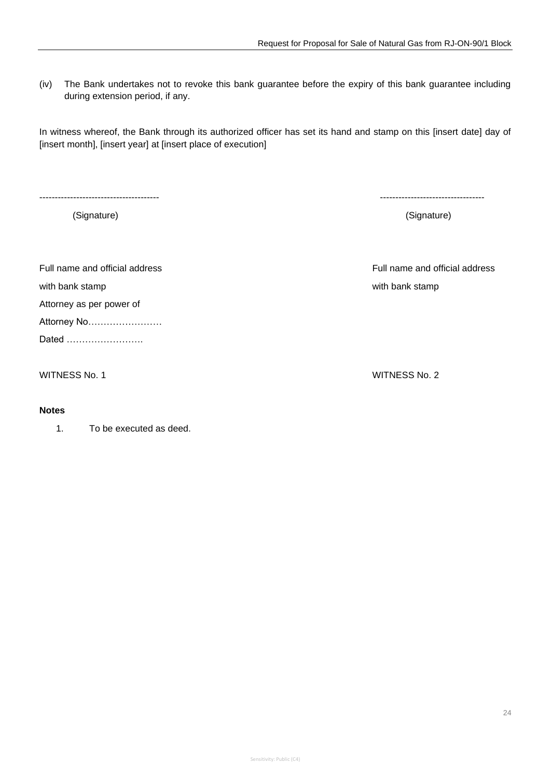(iv) The Bank undertakes not to revoke this bank guarantee before the expiry of this bank guarantee including during extension period, if any.

In witness whereof, the Bank through its authorized officer has set its hand and stamp on this [insert date] day of [insert month], [insert year] at [insert place of execution]

--------------------------------------- ----------------------------------

(Signature) (Signature)

Full name and official address Full name and official address with bank stamp with bank stamp Attorney as per power of Attorney No…………………… Dated …………………….

WITNESS No. 1 WITNESS No. 2

#### **Notes**

1. To be executed as deed.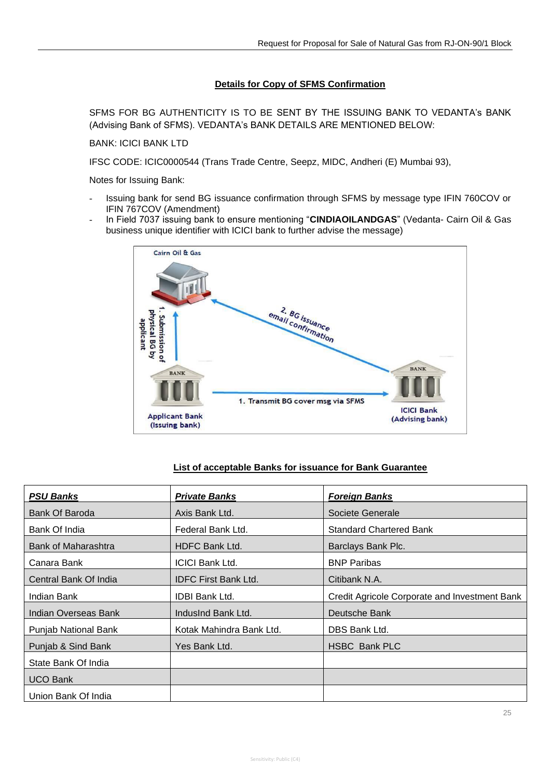## **Details for Copy of SFMS Confirmation**

SFMS FOR BG AUTHENTICITY IS TO BE SENT BY THE ISSUING BANK TO VEDANTA's BANK (Advising Bank of SFMS). VEDANTA's BANK DETAILS ARE MENTIONED BELOW:

BANK: ICICI BANK LTD

IFSC CODE: ICIC0000544 (Trans Trade Centre, Seepz, MIDC, Andheri (E) Mumbai 93),

Notes for Issuing Bank:

- Issuing bank for send BG issuance confirmation through SFMS by message type IFIN 760COV or IFIN 767COV (Amendment)
- In Field 7037 issuing bank to ensure mentioning "**CINDIAOILANDGAS**" (Vedanta- Cairn Oil & Gas business unique identifier with ICICI bank to further advise the message)



#### **List of acceptable Banks for issuance for Bank Guarantee**

| <b>PSU Banks</b>            | <b>Private Banks</b>        | <b>Foreign Banks</b>                          |
|-----------------------------|-----------------------------|-----------------------------------------------|
| Bank Of Baroda              | Axis Bank Ltd.              | Societe Generale                              |
| Bank Of India               | Federal Bank Ltd.           | <b>Standard Chartered Bank</b>                |
| Bank of Maharashtra         | <b>HDFC Bank Ltd.</b>       | Barclays Bank Plc.                            |
| Canara Bank                 | <b>ICICI Bank Ltd.</b>      | <b>BNP Paribas</b>                            |
| Central Bank Of India       | <b>IDFC First Bank Ltd.</b> | Citibank N.A.                                 |
| Indian Bank                 | <b>IDBI Bank Ltd.</b>       | Credit Agricole Corporate and Investment Bank |
| Indian Overseas Bank        | IndusInd Bank Ltd.          | Deutsche Bank                                 |
| <b>Punjab National Bank</b> | Kotak Mahindra Bank Ltd.    | DBS Bank Ltd.                                 |
| Punjab & Sind Bank          | Yes Bank Ltd.               | <b>HSBC Bank PLC</b>                          |
| State Bank Of India         |                             |                                               |
| <b>UCO Bank</b>             |                             |                                               |
| Union Bank Of India         |                             |                                               |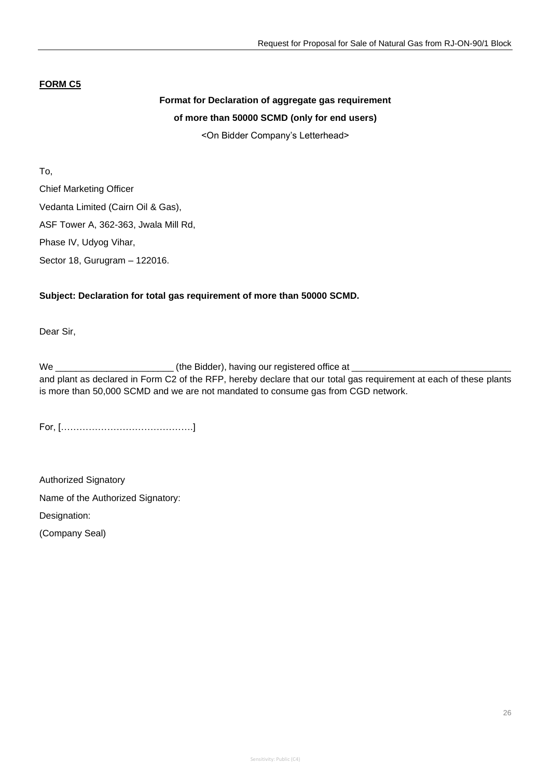## **FORM C5**

## **Format for Declaration of aggregate gas requirement of more than 50000 SCMD (only for end users)**

<On Bidder Company's Letterhead>

To, Chief Marketing Officer Vedanta Limited (Cairn Oil & Gas), ASF Tower A, 362-363, Jwala Mill Rd, Phase IV, Udyog Vihar, Sector 18, Gurugram – 122016.

## **Subject: Declaration for total gas requirement of more than 50000 SCMD.**

Dear Sir,

We \_\_\_\_\_\_\_\_\_\_\_\_\_\_\_\_\_\_\_\_\_\_\_ (the Bidder), having our registered office at \_\_\_\_\_\_\_\_\_\_\_\_\_\_\_\_\_\_\_\_\_\_\_\_\_\_\_\_\_\_\_ and plant as declared in Form C2 of the RFP, hereby declare that our total gas requirement at each of these plants is more than 50,000 SCMD and we are not mandated to consume gas from CGD network.

For, […………………………………….]

Authorized Signatory Name of the Authorized Signatory: Designation:

(Company Seal)